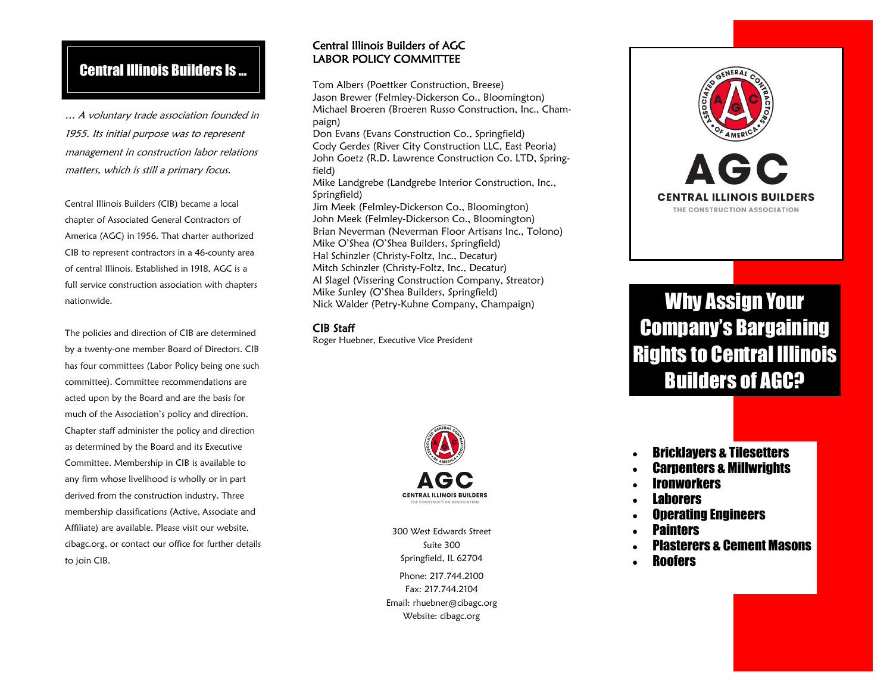# Central Illinois Builders Is ...

… A voluntary trade association founded in 1955. Its initial purpose was to represent management in construction labor relations matters, which is still a primary focus.

Central Illinois Builders (CIB) became a local chapter of Associated General Contractors of America (AGC) in 1956. That charter authorized CIB to represent contractors in a 46-county area of central Illinois. Established in 1918, AGC is a full service construction association with chapters nationwide.

The policies and direction of CIB are determined by a twenty-one member Board of Directors. CIB has four committees (Labor Policy being one such committee). Committee recommendations are acted upon by the Board and are the basis for much of the Association's policy and direction. Chapter staff administer the policy and direction as determined by the Board and its Executive Committee. Membership in CIB is available to any firm whose livelihood is wholly or in part derived from the construction industry. Three membership classifications (Active, Associate and Affiliate) are available. Please visit our website, cibagc.org, or contact our office for further details to join CIB.

#### Central Illinois Builders of AGC LABOR POLICY COMMITTEE

Tom Albers (Poettker Construction, Breese) Jason Brewer (Felmley-Dickerson Co., Bloomington) Michael Broeren (Broeren Russo Construction, Inc., Champaign) Don Evans (Evans Construction Co., Springfield)

Cody Gerdes (River City Construction LLC, East Peoria) John Goetz (R.D. Lawrence Construction Co. LTD, Springfield)

Mike Landgrebe (Landgrebe Interior Construction, Inc., Springfield)

Jim Meek (Felmley-Dickerson Co., Bloomington) John Meek (Felmley-Dickerson Co., Bloomington) Brian Neverman (Neverman Floor Artisans Inc., Tolono) Mike O'Shea (O'Shea Builders, Springfield) Hal Schinzler (Christy-Foltz, Inc., Decatur) Mitch Schinzler (Christy-Foltz, Inc., Decatur) Al Slagel (Vissering Construction Company, Streator) Mike Sunley (O'Shea Builders, Springfield) Nick Walder (Petry-Kuhne Company, Champaign)

#### CIB Staff

Roger Huebner, Executive Vice President



300 West Edwards Street Suite 300 Springfield, IL 62704 Phone: 217.744.2100 Fax: 217.744.2104 Email: rhuebner@cibagc.org Website: cibagc.org



Why Assign Your Company's Bargaining Rights to Central Illinois Builders of AGC?

- Bricklayers & Tilesetters
- **Carnenters & Millwrights**
- **Ironworkers**
- Laborers
- Operating Engineers
- **Painters**
- Plasterers & Cement Masons
- **Roofers**